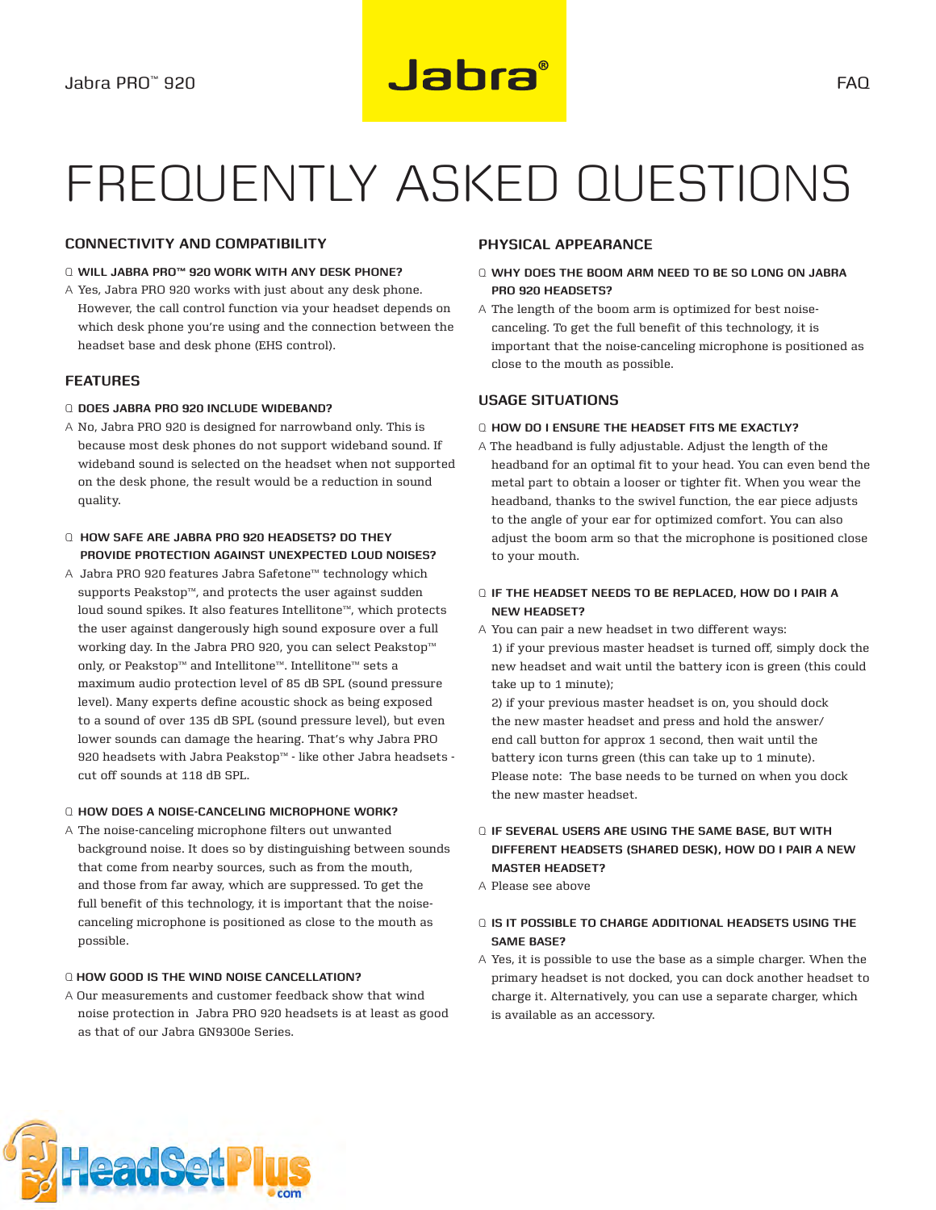# Frequently asked questions

# **Connectivity and compatibility**

## Q **Will Jabra PRO™ 920 work with any desk phone?**

A Yes, Jabra PRO 920 works with just about any desk phone. However, the call control function via your headset depends on which desk phone you're using and the connection between the headset base and desk phone (EHS control).

#### **Features**

#### Q **Does Jabra PRO 920 include wideband?**

- A No, Jabra PRO 920 is designed for narrowband only. This is because most desk phones do not support wideband sound. If wideband sound is selected on the headset when not supported on the desk phone, the result would be a reduction in sound quality.
- Q **How safe are Jabra PRO 920 headsets? Do they provide protection against unexpected loud noises?**
- A Jabra PRO 920 features Jabra Safetone™ technology which supports Peakstop™, and protects the user against sudden loud sound spikes. It also features Intellitone™, which protects the user against dangerously high sound exposure over a full working day. In the Jabra PRO 920, you can select Peakstop™ only, or Peakstop™ and Intellitone™. Intellitone™ sets a maximum audio protection level of 85 dB SPL (sound pressure level). Many experts define acoustic shock as being exposed to a sound of over 135 dB SPL (sound pressure level), but even lower sounds can damage the hearing. That's why Jabra PRO 920 headsets with Jabra Peakstop™ - like other Jabra headsets cut off sounds at 118 dB SPL.

#### Q **How does a noise-canceling microphone work?**

A The noise-canceling microphone filters out unwanted background noise. It does so by distinguishing between sounds that come from nearby sources, such as from the mouth, and those from far away, which are suppressed. To get the full benefit of this technology, it is important that the noisecanceling microphone is positioned as close to the mouth as possible.

## Q **How good is the wind noise cancellation?**

A Our measurements and customer feedback show that wind noise protection in Jabra PRO 920 headsets is at least as good as that of our Jabra GN9300e Series.

# **Physical appearance**

- Q **Why does the boom arm need to be so long on Jabra PRO 920 headsets?**
- A The length of the boom arm is optimized for best noisecanceling. To get the full benefit of this technology, it is important that the noise-canceling microphone is positioned as close to the mouth as possible.

## **Usage situations**

#### Q **How do I ensure the headset fits me exactly?**

A The headband is fully adjustable. Adjust the length of the headband for an optimal fit to your head. You can even bend the metal part to obtain a looser or tighter fit. When you wear the headband, thanks to the swivel function, the ear piece adjusts to the angle of your ear for optimized comfort. You can also adjust the boom arm so that the microphone is positioned close to your mouth.

### Q **If the headset needs to be replaced, how do I pair a new headset?**

A You can pair a new headset in two different ways: 1) if your previous master headset is turned off, simply dock the new headset and wait until the battery icon is green (this could take up to 1 minute);

2) if your previous master headset is on, you should dock the new master headset and press and hold the answer/ end call button for approx 1 second, then wait until the battery icon turns green (this can take up to 1 minute). Please note: The base needs to be turned on when you dock the new master headset.

# Q **If several users are using the same base, but with different headsets (shared desk), how do I pair a new master headset?**

A Please see above

# Q **Is it possible to charge additional headsets using the same base?**

A Yes, it is possible to use the base as a simple charger. When the primary headset is not docked, you can dock another headset to charge it. Alternatively, you can use a separate charger, which is available as an accessory.